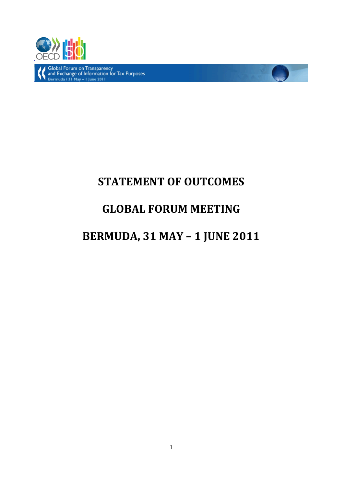

Global Forum on Transparency<br>and Exchange of Information for Tax Purposes<br>Bermuda / 31 May – 1 June 2011

# **STATEMENT OF OUTCOMES**

## **GLOBAL FORUM MEETING**

## **BERMUDA, 31 MAY – 1 JUNE 2011**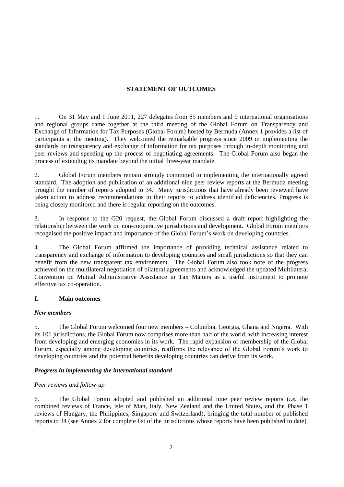### **STATEMENT OF OUTCOMES**

1. On 31 May and 1 June 2011, 227 delegates from 85 members and 9 international organisations and regional groups came together at the third meeting of the Global Forum on Transparency and Exchange of Information for Tax Purposes (Global Forum) hosted by Bermuda (Annex 1 provides a list of participants at the meeting). They welcomed the remarkable progress since 2009 in implementing the standards on transparency and exchange of information for tax purposes through in-depth monitoring and peer reviews and speeding up the process of negotiating agreements. The Global Forum also began the process of extending its mandate beyond the initial three-year mandate.

2. Global Forum members remain strongly committed to implementing the internationally agreed standard. The adoption and publication of an additional nine peer review reports at the Bermuda meeting brought the number of reports adopted to 34. Many jurisdictions that have already been reviewed have taken action to address recommendations in their reports to address identified deficiencies. Progress is being closely monitored and there is regular reporting on the outcomes.

3. In response to the G20 request, the Global Forum discussed a draft report highlighting the relationship between the work on non-cooperative jurisdictions and development. Global Forum members recognised the positive impact and importance of the Global Forum's work on developing countries.

4. The Global Forum affirmed the importance of providing technical assistance related to transparency and exchange of information to developing countries and small jurisdictions so that they can benefit from the new transparent tax environment. The Global Forum also took note of the progress achieved on the multilateral negotiation of bilateral agreements and acknowledged the updated Multilateral Convention on Mutual Administrative Assistance in Tax Matters as a useful instrument to promote effective tax co-operation.

#### **I. Main outcomes**

#### *New members*

5. The Global Forum welcomed four new members – Columbia, Georgia, Ghana and Nigeria. With its 101 jurisdictions, the Global Forum now comprises more than half of the world, with increasing interest from developing and emerging economies in its work. The rapid expansion of membership of the Global Forum, especially among developing countries, reaffirms the relevance of the Global Forum's work to developing countries and the potential benefits developing countries can derive from its work.

## *Progress in implementing the international standard*

## *Peer reviews and follow-up*

6. The Global Forum adopted and published an additional nine peer review reports (*i.e.* the combined reviews of France, Isle of Man, Italy, New Zealand and the United States, and the Phase 1 reviews of Hungary, the Philippines, Singapore and Switzerland), bringing the total number of published reports to 34 (see Annex 2 for complete list of the jurisdictions whose reports have been published to date).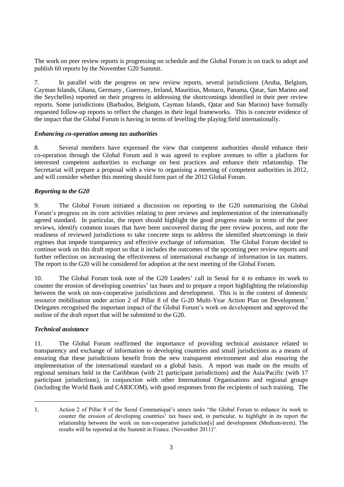The work on peer review reports is progressing on schedule and the Global Forum is on track to adopt and publish 60 reports by the November G20 Summit.

7. In parallel with the progress on new review reports, several jurisdictions (Aruba, Belgium, Cayman Islands, Ghana, Germany , Guernsey, Ireland, Mauritius, Monaco, Panama, Qatar, San Marino and the Seychelles) reported on their progress in addressing the shortcomings identified in their peer review reports. Some jurisdictions (Barbados, Belgium, Cayman Islands, Qatar and San Marino) have formally requested follow-up reports to reflect the changes in their legal frameworks. This is concrete evidence of the impact that the Global Forum is having in terms of levelling the playing field internationally.

#### *Enhancing co-operation among tax authorities*

8. Several members have expressed the view that competent authorities should enhance their co-operation through the Global Forum and it was agreed to explore avenues to offer a platform for interested competent authorities to exchange on best practices and enhance their relationship. The Secretariat will prepare a proposal with a view to organising a meeting of competent authorities in 2012, and will consider whether this meeting should form part of the 2012 Global Forum.

#### *Reporting to the G20*

9. The Global Forum initiated a discussion on reporting to the G20 summarising the Global Forum's progress on its core activities relating to peer reviews and implementation of the internationally agreed standard. In particular, the report should highlight the good progress made in terms of the peer reviews, identify common issues that have been uncovered during the peer review process, and note the readiness of reviewed jurisdictions to take concrete steps to address the identified shortcomings in their regimes that impede transparency and effective exchange of information. The Global Forum decided to continue work on this draft report so that it includes the outcomes of the upcoming peer review reports and further reflection on increasing the effectiveness of international exchange of information in tax matters. The report to the G20 will be considered for adoption at the next meeting of the Global Forum.

10. The Global Forum took note of the G20 Leaders' call in Seoul for it to enhance its work to counter the erosion of developing countries' tax bases and to prepare a report highlighting the relationship between the work on non-cooperative jurisdictions and development. This is in the context of domestic resource mobilisation under action 2 of Pillar 8 of the G-20 Multi-Year Action Plan on Development.<sup>1</sup> Delegates recognised the important impact of the Global Forum's work on development and approved the outline of the draft report that will be submitted to the G20.

#### *Technical assistance*

 $\overline{a}$ 

11. The Global Forum reaffirmed the importance of providing technical assistance related to transparency and exchange of information to developing countries and small jurisdictions as a means of ensuring that these jurisdictions benefit from the new transparent environment and also ensuring the implementation of the international standard on a global basis. A report was made on the results of regional seminars held in the Caribbean (with 21 participant jurisdictions) and the Asia/Pacific (with 17 participant jurisdictions), in conjunction with other International Organisations and regional groups (including the World Bank and CARICOM), with good responses from the recipients of such training. The

<sup>1.</sup> Action 2 of Pillar 8 of the Seoul Communiqué's annex tasks "the Global Forum to enhance its work to counter the erosion of developing countries' tax bases and, in particular, to highlight in its report the relationship between the work on non-cooperative jurisdiction[s] and development (Medium-term). The results will be reported at the Summit in France. (November 2011)".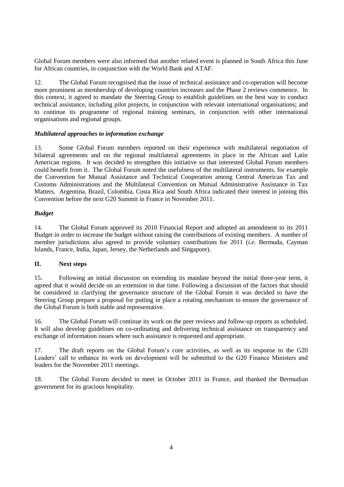Global Forum members were also informed that another related event is planned in South Africa this June for African countries, in conjunction with the World Bank and ATAF.

12. The Global Forum recognised that the issue of technical assistance and co-operation will become more prominent as membership of developing countries increases and the Phase 2 reviews commence. In this context, it agreed to mandate the Steering Group to establish guidelines on the best way to conduct technical assistance, including pilot projects, in conjunction with relevant international organisations; and to continue its programme of regional training seminars, in conjunction with other international organisations and regional groups.

### *Multilateral approaches to information exchange*

13. Some Global Forum members reported on their experience with multilateral negotiation of bilateral agreements and on the regional multilateral agreements in place in the African and Latin American regions. It was decided to strengthen this initiative so that interested Global Forum members could benefit from it. The Global Forum noted the usefulness of the multilateral instruments, for example the Convention for Mutual Assistance and Technical Cooperation among Central American Tax and Customs Administrations and the Multilateral Convention on Mutual Administrative Assistance in Tax Matters. Argentina, Brazil, Colombia, Costa Rica and South Africa indicated their interest in joining this Convention before the next G20 Summit in France in November 2011.

## *Budget*

14. The Global Forum approved its 2010 Financial Report and adopted an amendment to its 2011 Budget in order to increase the budget without raising the contributions of existing members. A number of member jurisdictions also agreed to provide voluntary contributions for 2011 (*i.e.* Bermuda, Cayman Islands, France, India, Japan, Jersey, the Netherlands and Singapore).

## **II. Next steps**

15. Following an initial discussion on extending its mandate beyond the initial three-year term, it agreed that it would decide on an extension in due time. Following a discussion of the factors that should be considered in clarifying the governance structure of the Global Forum it was decided to have the Steering Group prepare a proposal for putting in place a rotating mechanism to ensure the governance of the Global Forum is both stable and representative.

16. The Global Forum will continue its work on the peer reviews and follow-up reports as scheduled. It will also develop guidelines on co-ordinating and delivering technical assistance on transparency and exchange of information issues where such assistance is requested and appropriate.

17. The draft reports on the Global Forum's core activities, as well as its response to the G20 Leaders' call to enhance its work on development will be submitted to the G20 Finance Ministers and leaders for the November 2011 meetings.

18. The Global Forum decided to meet in October 2011 in France, and thanked the Bermudian government for its gracious hospitality.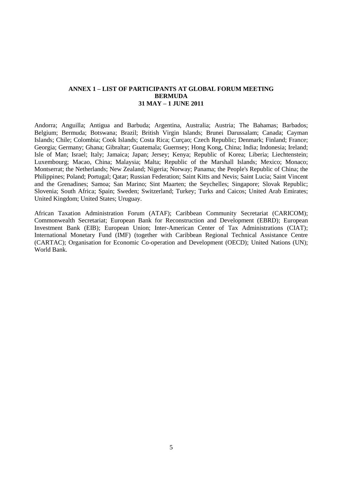#### **ANNEX 1 – LIST OF PARTICIPANTS AT GLOBAL FORUM MEETING BERMUDA 31 MAY – 1 JUNE 2011**

Andorra; Anguilla; Antigua and Barbuda; Argentina, Australia; Austria; The Bahamas; Barbados; Belgium; Bermuda; Botswana; Brazil; British Virgin Islands; Brunei Darussalam; Canada; Cayman Islands; Chile; Colombia; Cook Islands; Costa Rica; Curçao; Czech Republic; Denmark; Finland; France; Georgia; Germany; Ghana; Gibraltar; Guatemala; Guernsey; Hong Kong, China; India; Indonesia; Ireland; Isle of Man; Israel; Italy; Jamaica; Japan; Jersey; Kenya; Republic of Korea; Liberia; Liechtenstein; Luxembourg; Macao, China; Malaysia; Malta; Republic of the Marshall Islands; Mexico; Monaco; Montserrat; the Netherlands; New Zealand; Nigeria; Norway; Panama; the People's Republic of China; the Philippines; Poland; Portugal; Qatar; Russian Federation; Saint Kitts and Nevis; Saint Lucia; Saint Vincent and the Grenadines; Samoa; San Marino; Sint Maarten; the Seychelles; Singapore; Slovak Republic; Slovenia; South Africa; Spain; Sweden; Switzerland; Turkey; Turks and Caicos; United Arab Emirates; United Kingdom; United States; Uruguay.

African Taxation Administration Forum (ATAF); Caribbean Community Secretariat (CARICOM); Commonwealth Secretariat; European Bank for Reconstruction and Development (EBRD); European Investment Bank (EIB); European Union; Inter-American Center of Tax Administrations (CIAT); International Monetary Fund (IMF) (together with Caribbean Regional Technical Assistance Centre (CARTAC); Organisation for Economic Co-operation and Development (OECD); United Nations (UN); World Bank.